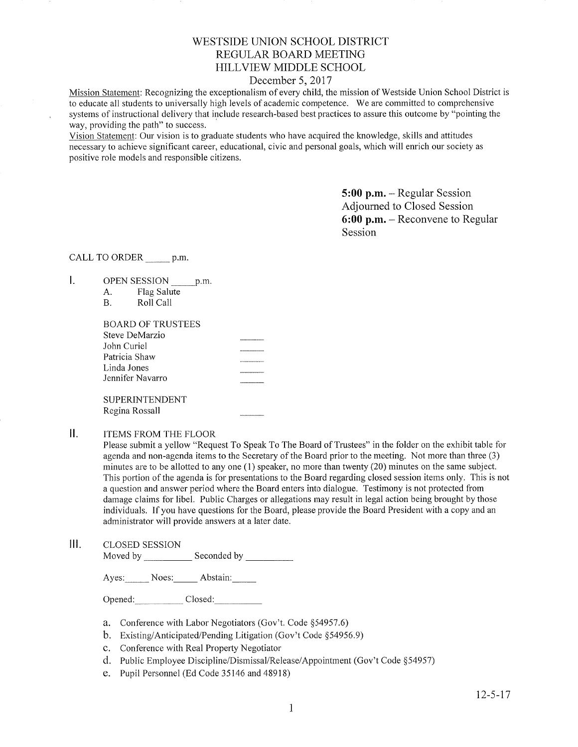# WESTSIDE UNION SCHOOL DISTRICT REGULAR BOARD MEETING **HILLVIEW MIDDLE SCHOOL**

## December 5, 2017

Mission Statement: Recognizing the exceptionalism of every child, the mission of Westside Union School District is to educate all students to universally high levels of academic competence. We are committed to comprehensive systems of instructional delivery that include research-based best practices to assure this outcome by "pointing the way, providing the path" to success.

Vision Statement: Our vision is to graduate students who have acquired the knowledge, skills and attitudes necessary to achieve significant career, educational, civic and personal goals, which will enrich our society as positive role models and responsible citizens.

> $5:00$  p.m. - Regular Session Adjourned to Closed Session  $6:00$  p.m. – Reconvene to Regular Session

CALL TO ORDER p.m.

- I. OPEN SESSION \_\_\_\_\_ p.m.
	- Flag Salute A.
	- $B.$ Roll Call

| <b>BOARD OF TRUSTEES</b> |  |
|--------------------------|--|
| Steve DeMarzio           |  |
| John Curiel              |  |
| Patricia Shaw            |  |
| Linda Jones              |  |
| Jennifer Navarro         |  |
| <b>SUPERINTENDENT</b>    |  |
| Regina Rossall           |  |

 $II.$ **ITEMS FROM THE FLOOR** 

> Please submit a yellow "Request To Speak To The Board of Trustees" in the folder on the exhibit table for agenda and non-agenda items to the Secretary of the Board prior to the meeting. Not more than three (3) minutes are to be allotted to any one (1) speaker, no more than twenty (20) minutes on the same subject. This portion of the agenda is for presentations to the Board regarding closed session items only. This is not a question and answer period where the Board enters into dialogue. Testimony is not protected from damage claims for libel. Public Charges or allegations may result in legal action being brought by those individuals. If you have questions for the Board, please provide the Board President with a copy and an administrator will provide answers at a later date.

 $III.$ **CLOSED SESSION** Moved by Seconded by

Ayes: Noes: Abstain:

Opened: Closed:

- a. Conference with Labor Negotiators (Gov't. Code §54957.6)
- b. Existing/Anticipated/Pending Litigation (Gov't Code §54956.9)
- c. Conference with Real Property Negotiator
- d. Public Employee Discipline/Dismissal/Release/Appointment (Gov't Code §54957)
- e. Pupil Personnel (Ed Code 35146 and 48918)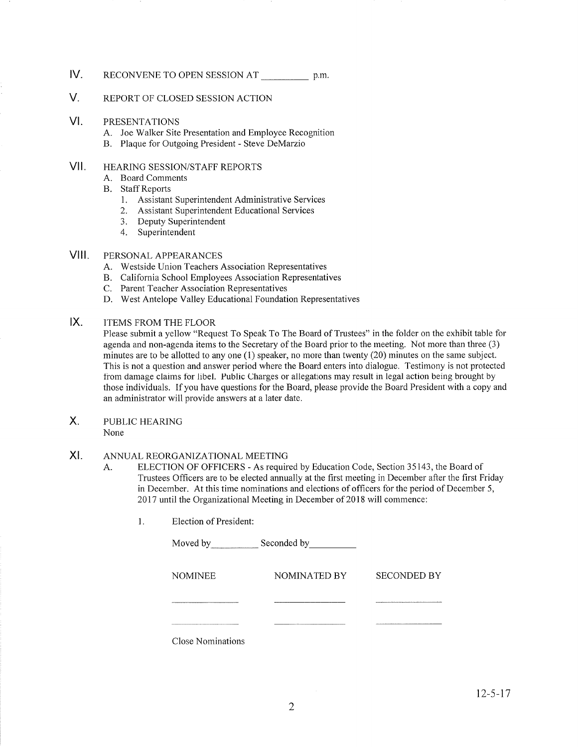### tv. RECONVENE TO OPEN SESSION AT p.m.

#### V. REPORT OF CLOSED SESSION ACTION

#### vt. PRESENTATIONS

- A. Joe Walker Site Presentation and Employee Recognition B. Plaque for Outgoing President Steve DeMarzio
- 

### vil HEARING SESSION/STAFF REPORTS

- A. Board Comments
- **B.** Staff Reports
	- 1. Assistant Superintendent Administrative Services<br>2. Assistant Superintendent Educational Services
	-
	- 3. Deputy Superintendent
	- 4. Superintendent

#### PERSONAL APPEARANCES VIII.

- A. Westside Union Teachers Association Representatives
- B. California School Employees Association Representatives C. Parent Teacher Association Representatives
- 
- D. West Antelope Valley Educational Foundation Representatives

### ITEMS FROM THE FLOOR IX

Please submit a yellow "Request To Speak To The Board of Trustees" in the folder on the exhibit table for agenda and non-agenda items to the Secretary of the Board prior to the meeting. Not more than three (3) minutes are to be allotted to any one (l) speaker, no more than twenty (20) minutes on the same subject. This is not a question and answer period where the Board enters into dialogue. Testimony is not protected from damage claims for libel. Public Charges or allegations may result in legal action being brought by those individuals. If you have questions for the Board, please provide the Board President with a copy and an administrator will provide answers at a later date.

- PUBLIC HEARING X.
	- None

#### ANNUAL REORGANIZATIONAL MEETING XI

- A. ELECTION OF OFFICERS As required by Education Code, Section 35143, the Board of Trustees Officers are to be elected annually at the first meeting in December after the first Friday in December. At this time nominations and elections of officers for the period of December 5, 2017 until the Organizational Meeting in December of 2018 will commence:
	- $1.$ Election of President:

| Moved by          | Seconded by  |                    |
|-------------------|--------------|--------------------|
| <b>NOMINEE</b>    | NOMINATED BY | <b>SECONDED BY</b> |
|                   |              |                    |
| Close Nominations |              |                    |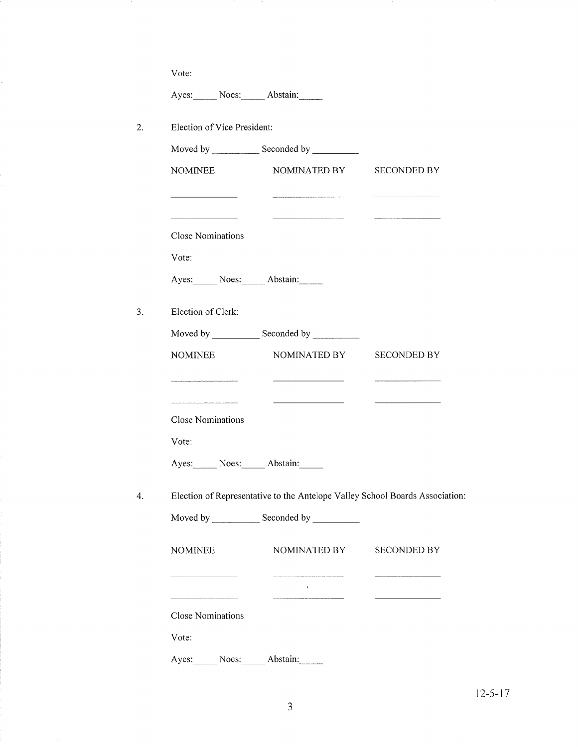Vote:

Į.

Ayes: Noes: Abstain:

|                                         | Moved by Seconded by Seconded by                                             |                    |
|-----------------------------------------|------------------------------------------------------------------------------|--------------------|
| <b>NOMINEE</b>                          | NOMINATED BY                                                                 | <b>SECONDED BY</b> |
| <u> 1980 - Johann Barbara, martin a</u> |                                                                              |                    |
| <b>Close Nominations</b>                |                                                                              |                    |
| Vote:                                   |                                                                              |                    |
| Ayes: Noes: Abstain:                    |                                                                              |                    |
| Election of Clerk:                      |                                                                              |                    |
|                                         |                                                                              |                    |
| <b>NOMINEE</b>                          | NOMINATED BY                                                                 | <b>SECONDED BY</b> |
|                                         |                                                                              |                    |
| <b>Close Nominations</b>                | <u> Alexandria (m. 1858)</u>                                                 |                    |
| Vote:                                   |                                                                              |                    |
| Ayes: Noes: Abstain:                    |                                                                              |                    |
|                                         | Election of Representative to the Antelope Valley School Boards Association: |                    |
|                                         |                                                                              |                    |

| <b>NOMINEE</b>    | NOMINATED BY | <b>SECONDED BY</b> |  |
|-------------------|--------------|--------------------|--|
|                   | $\cdot$      |                    |  |
| Close Nominations |              |                    |  |
| Vote:             |              |                    |  |
| Noes:<br>Ayes:    | Abstain:     |                    |  |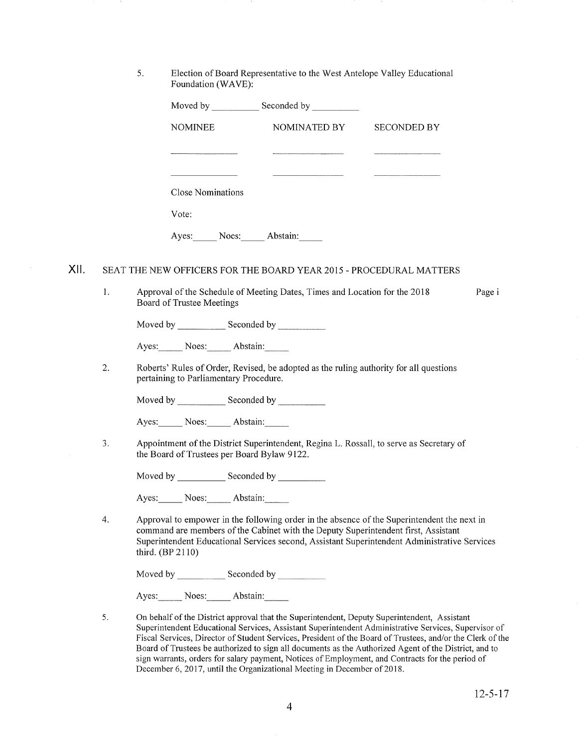<sup>5</sup> Election of Board Representative to the West Antelope Valley Educational Foundation (WAVE):

|      |    |                  |                           |                                             | Moved by _______________ Seconded by _____________                         |                                                                                                                                                                                                                                                                                   |      |
|------|----|------------------|---------------------------|---------------------------------------------|----------------------------------------------------------------------------|-----------------------------------------------------------------------------------------------------------------------------------------------------------------------------------------------------------------------------------------------------------------------------------|------|
|      |    |                  | <b>NOMINEE</b>            |                                             | NOMINATED BY                                                               | <b>SECONDED BY</b>                                                                                                                                                                                                                                                                |      |
|      |    |                  |                           |                                             |                                                                            |                                                                                                                                                                                                                                                                                   |      |
|      |    |                  |                           |                                             |                                                                            |                                                                                                                                                                                                                                                                                   |      |
|      |    |                  | <b>Close Nominations</b>  |                                             |                                                                            |                                                                                                                                                                                                                                                                                   |      |
|      |    |                  | Vote:                     |                                             |                                                                            |                                                                                                                                                                                                                                                                                   |      |
|      |    |                  |                           |                                             | Ayes: Noes: Abstain:                                                       |                                                                                                                                                                                                                                                                                   |      |
| XII. | 1. |                  | Board of Trustee Meetings |                                             | Approval of the Schedule of Meeting Dates, Times and Location for the 2018 | SEAT THE NEW OFFICERS FOR THE BOARD YEAR 2015 - PROCEDURAL MATTERS                                                                                                                                                                                                                | Page |
|      |    |                  |                           |                                             |                                                                            |                                                                                                                                                                                                                                                                                   |      |
|      |    |                  |                           | Ayes: Noes: Abstain:                        |                                                                            |                                                                                                                                                                                                                                                                                   |      |
|      | 2. |                  |                           | pertaining to Parliamentary Procedure.      |                                                                            | Roberts' Rules of Order, Revised, be adopted as the ruling authority for all questions                                                                                                                                                                                            |      |
|      |    |                  |                           |                                             | Moved by Seconded by Seconded by                                           |                                                                                                                                                                                                                                                                                   |      |
|      |    |                  |                           | Ayes: Noes: Abstain:                        |                                                                            |                                                                                                                                                                                                                                                                                   |      |
|      | 3. |                  |                           | the Board of Trustees per Board Bylaw 9122. |                                                                            | Appointment of the District Superintendent, Regina L. Rossall, to serve as Secretary of                                                                                                                                                                                           |      |
|      |    |                  |                           |                                             |                                                                            |                                                                                                                                                                                                                                                                                   |      |
|      |    |                  |                           | Ayes: Noes: Abstain:                        |                                                                            |                                                                                                                                                                                                                                                                                   |      |
|      | 4. | third. (BP 2110) |                           |                                             |                                                                            | Approval to empower in the following order in the absence of the Superintendent the next in<br>command are members of the Cabinet with the Deputy Superintendent first, Assistant<br>Superintendent Educational Services second, Assistant Superintendent Administrative Services |      |
|      |    |                  |                           |                                             | Moved by _______________ Seconded by ____________                          |                                                                                                                                                                                                                                                                                   |      |
|      |    |                  |                           | Ayes: Noes: Abstain:                        |                                                                            |                                                                                                                                                                                                                                                                                   |      |
|      |    |                  |                           |                                             |                                                                            |                                                                                                                                                                                                                                                                                   |      |

On behalf of the District approval that the Superintendent, Deputy Superintendent, Assistant Superintendent Educational Services, Assistant Superintendent Administrative Services, Supervisor of Fiscal Services, Director of Student Services, President of the Board of Trustees, and/or the Clerk of the Board of Trustees be authorized to sign all documents as the Authorized Agent of the District, and to sign warrants, orders for salary payment, Notices of Employment, and Contracts for the period of December 6,2017, until the Organizational Meeting in December of 2018. 5

Page i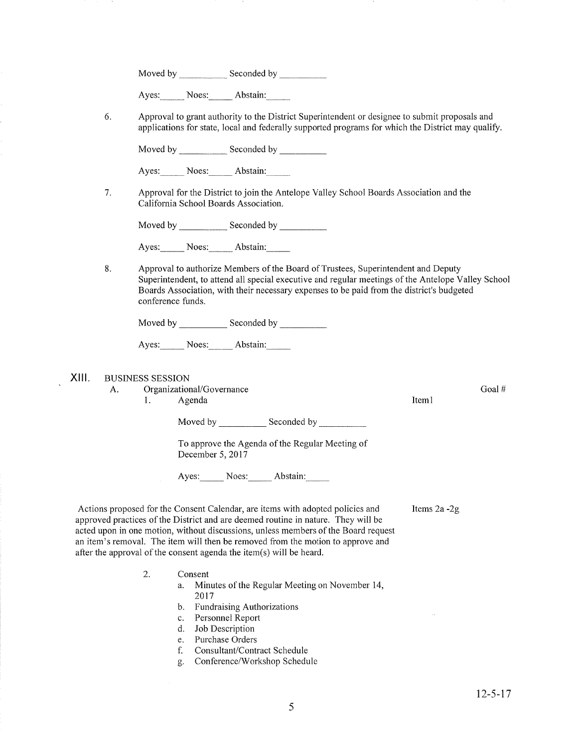Moved by Seconded by Seconded by Seconded by Seconded by Seconded by Seconded by Seconded by Seconded by Seconded by Seconded by Seconded by Seconded by Seconded by Seconded by Seconded by Seconded by Seconded by Seconded

Ayes: Noes: Abstain:

6 Approval to grant authority to the District Superintendent or designee to submit proposals and applications for state, local and federally supported programs for which the District may qualify

Moved by \_\_\_\_\_\_\_\_\_\_\_\_\_ Seconded by \_

Ayes: Noes: Abstain:

7. Approval for the District to join the Antelope Valley School Boards Association and the California School Boards Association.

Moved by Seconded by Seconded by Seconded by Seconded by Seconded by Seconded by Seconded by Seconded by Seconded by Seconded by Seconded by Seconded by Seconded by Seconded by Seconded by Seconded by Seconded by Seconded

Ayes: Noes: Abstain:

8. Approval to authorize Members of the Board of Trustees, Superintendent and Deputy Superintendent, to attend all special executive and regular meetings of the Antelope Valley School Boards Association, with their necessary expenses to be paid from the district's budgeted conference funds.

Moved by Seconded by Seconded by

Ayes: Noes: Abstain:

XIII. BUSINESS SESSION

A. Organizational/Governance l. Agenda

Moved by Seconded by

To approve the Agenda of the Regular Meeting of December 5,2017

Ayes: Noes: Abstain:

Actions proposed for the Consent Calendar, are items with adopted policies and approved practices of the District and are deemed routine in nature. They will be acted upon in one motion, without discussions, unless members of the Board request an item's removal. The item will then be removed from the motion to approve and after the approval of the consent agenda the item(s) will be heard. Items 2a -2g

- Consent 2
	- a. Minutes of the Regular Meeting on November 14, 2017
	- b. Fundraising Authorizations
	- c. Personnel Report d. Job Description
	-
	- e. Purchase Orders
	- f. Consultant/Contract Schedule
	- g. Conference/Workshop Schedule

Goal #

Iteml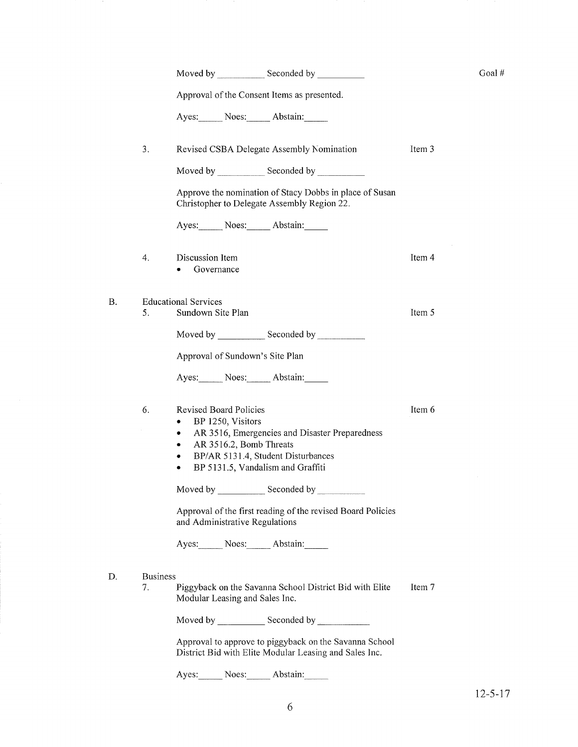|    |                 |                                                                                                                                                                                                                                     |        | Goal # |
|----|-----------------|-------------------------------------------------------------------------------------------------------------------------------------------------------------------------------------------------------------------------------------|--------|--------|
|    |                 | Approval of the Consent Items as presented.                                                                                                                                                                                         |        |        |
|    |                 | Ayes: Noes: Abstain:                                                                                                                                                                                                                |        |        |
|    | 3.              | Revised CSBA Delegate Assembly Nomination                                                                                                                                                                                           | Item 3 |        |
|    |                 |                                                                                                                                                                                                                                     |        |        |
|    |                 | Approve the nomination of Stacy Dobbs in place of Susan<br>Christopher to Delegate Assembly Region 22.                                                                                                                              |        |        |
|    |                 | Ayes: Noes: Abstain:                                                                                                                                                                                                                |        |        |
|    | 4.              | Discussion Item<br>Governance                                                                                                                                                                                                       | Item 4 |        |
| Β. |                 | <b>Educational Services</b>                                                                                                                                                                                                         |        |        |
|    | 5.              | Sundown Site Plan                                                                                                                                                                                                                   | Item 5 |        |
|    |                 | Moved by Seconded by Seconded by Seconded by Seconded by Seconded by Seconded by Seconded by Seconded by Seconded by Seconded by Seconded by Seconded by Seconded by Seconded by Seconded by Seconded by Seconded by Seconded       |        |        |
|    |                 | Approval of Sundown's Site Plan                                                                                                                                                                                                     |        |        |
|    |                 | Ayes: Noes: Abstain:                                                                                                                                                                                                                |        |        |
|    | 6.              | <b>Revised Board Policies</b><br>BP 1250, Visitors<br>٠<br>AR 3516, Emergencies and Disaster Preparedness<br>۰<br>AR 3516.2, Bomb Threats<br>٠<br>BP/AR 5131.4, Student Disturbances<br>٠<br>BP 5131.5, Vandalism and Graffiti<br>٠ | Item 6 |        |
|    |                 | Moved by ________________ Seconded by ___________                                                                                                                                                                                   |        |        |
|    |                 | Approval of the first reading of the revised Board Policies<br>and Administrative Regulations                                                                                                                                       |        |        |
|    |                 | Ayes: Noes: Abstain:                                                                                                                                                                                                                |        |        |
| D. | <b>Business</b> |                                                                                                                                                                                                                                     |        |        |
|    | 7.              | Piggyback on the Savanna School District Bid with Elite<br>Modular Leasing and Sales Inc.                                                                                                                                           | Item 7 |        |
|    |                 |                                                                                                                                                                                                                                     |        |        |
|    |                 | Approval to approve to piggyback on the Savanna School<br>District Bid with Elite Modular Leasing and Sales Inc.                                                                                                                    |        |        |
|    |                 | Ayes: Noes: Abstain:                                                                                                                                                                                                                |        |        |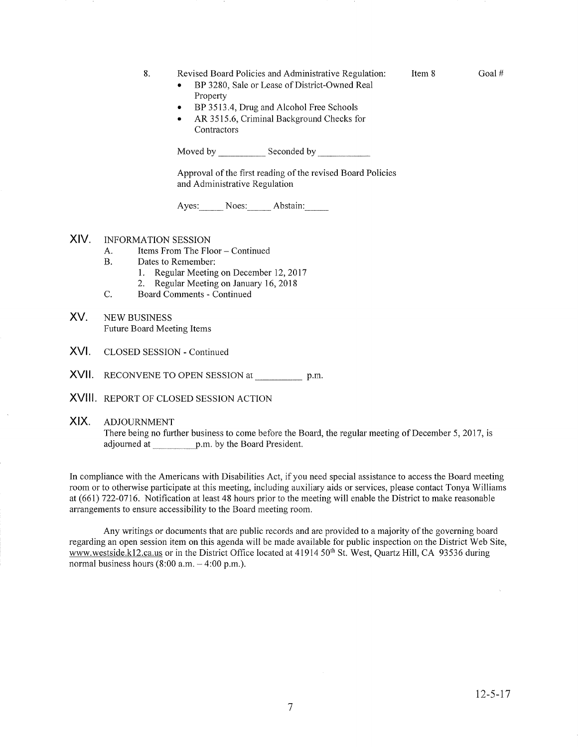8. Revised Board Policies and Administrative Regulation:

Item 8 Goal #

- BP 3280, Sale or Lease of District-Owned Real Property
- BP 3513.4, Drug and Alcohol Free Schools
- AR 3515.6, Criminal Background Checks for **Contractors**

Moved by Seconded by Seconded by

Approval of the first reading of the revised Board Policies and Administrative Regulation

Ayes: Noes: Abstain:

## XIV. INFORMATION SESSION

- A. Items From The Floor Continued<br>B. Dates to Remember:
- 
- 1. Regular Meeting on December 12, 2017<br>2. Regular Meeting on January 16, 2018<br>C. Board Comments Continued
	-
- 
- XV. NEW BUSINESS Future Board Meeting Items
- XVI. CLOSED SESSION - Continued
- $\bm{\mathsf{XV}}$ II. RECONVENE TO OPEN SESSION at \_\_\_\_\_\_\_\_\_\_\_\_ p.m.
- XVIII REPORT OF CLOSED SESSION ACTION

### XIX. ADJOURNMENT

There being no further business to come before the Board, the regular meeting of December 5, 2017, is adjourned at p.m. by the Board President.

In compliance with the Americans with Disabilities Act, if you need special assistance to access the Board meeting room or to otherwise participate at this meeting, including auxiliary aids or services, please contact Tonya Williams at (661) 122-0116. Notification at least 48 hours prior to the meeting will enable the District to make reasonable arrangements to ensure accessibility to the Board meeting room.

Any writings or documents that are public records and are provided to a majority of the governing board regarding an open session item on this agenda will be made available for public inspection on the District Web Site, www.westside.k12.ca.us or in the District Office located at 41914 50<sup>th</sup> St. West, Quartz Hill, CA 93536 during normal business hours  $(8:00 a.m. - 4:00 p.m.).$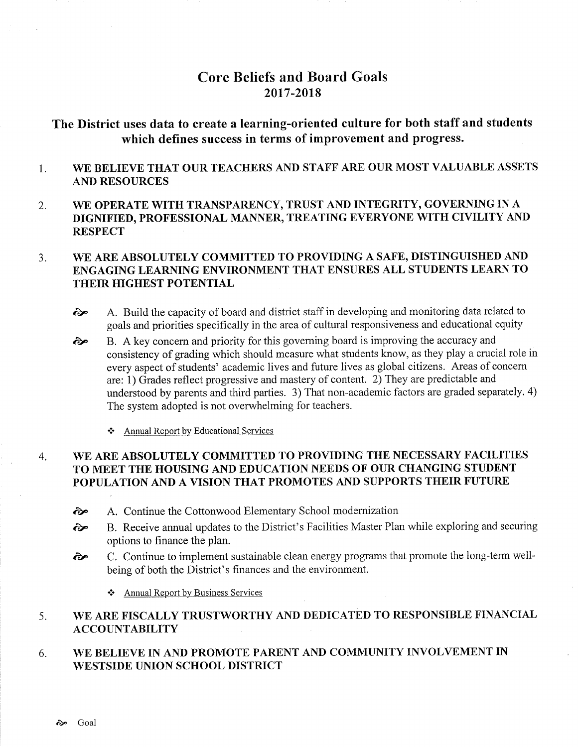# Core Beliefs and Board Goals 2017 -2018

# The District uses data to create a learning-oriented culture for both staff and students which defines success in terms of improvement and progress.

- 1 WE BELIEVE THAT OUR TEACHERS AND STAFF ARE OUR MOST VALUABLE ASSETS AND RESOURCES
- 2 WE OPERATE WITH TRANSPARENCY, TRUST AND INTEGRTTY, GOVERNING IN A DIGNIFIED, PROFESSIONAL MANNER, TREATING EVERYONE WITH CIVILITY AND **RESPECT**

### WE ARE ABSOLUTELY COMMITTED TO PROVIDING A SAFE, DISTINGUISHED AND ENGAGING LEARNING ENVIRONMENT THAT ENSURES ALL STUDENTS LEARN TO THEIR HIGHEST POTENTIAL 3.

- $\odot$  A. Build the capacity of board and district staff in developing and monitoring data related to goals and priorities specifically in the area of cultural responsiveness and educational equity
- B. A key concern and priority for this governing board is improving the accuracy and consistency of grading which should measure what students know, as they play a crucial role in every aspect of students' academic lives and future lives as global citizens. Areas of concern are: 1) Grades reflect progressive and mastery of content. 2) They are predictable and understood by parents and third parties. 3) That non-academic factors are graded separately. 4) The system adopted is not overwhelming for teachers. ôp
	- \* Annual Report by Educational Services

### WE ARE ABSOLUTELY COMMITTED TO PROVIDING THE NECESSARY FACILITIES TO MEET THE HOUSING AND EDUCATION NEEDS OF OUR CHANGING STUDENT POPULATION AND A VISION THAT PROMOTES AND SUPPORTS THEIR FUTURE 4.

- $\odot$  A. Continue the Cottonwood Elementary School modernization
- ôp B. Receive annual updates to the District's Facilities Master Plan while exploring and securing options to finance the plan.
- $\epsilon$  C. Continue to implement sustainable clean energy programs that promote the long-term wellbeing of both the District's finances and the environment.
	- $\triangle$  Annual Report by Business Services

### WE ARE FISCALLY TRUSTWORTHY AND DEDICATED TO RESPONSIBLE FINANCIAL ACCOUNTABILITY 5

### WE BELIEVE IN AND PROMOTE PARENT AND COMMUNITY INVOLVEMENT IN WESTSIDE UNION SCHOOL DISTRICT 6.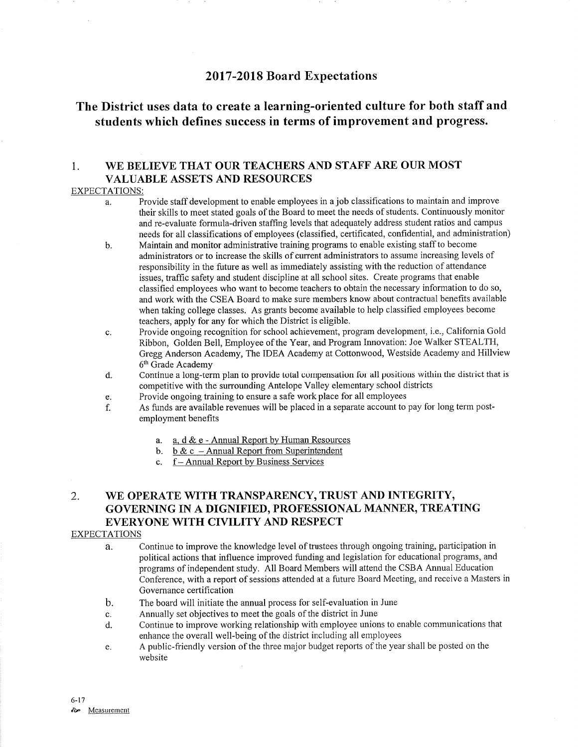# <sup>2017</sup>-2018 Board Expectations

# The District uses data to create a learning-oriented culture for both staff and students which defines success in terms of improvement and progress.

## 1. WE BELIEVE THAT OUR TEACHERS AND STAFF ARE OUR MOST VALUABLE ASSETS AND RESOURCES

## EXPECTATIONS:

- a. Provide staff development to enable employees in a job classifications to maintain and improve their skills to meet stated goals of the Board to meet the needs of students. Continuously monitor and re-evaluate formula-driven staffing levels that adequately address student ratios and campus needs for all classifications of employees (classified, certificated, conftdential, and administration)
- b. Maintain and monitor administrative training programs to enable existing staff to become administrators or to increase the skills of current administrators to assume increasing levels of responsibility in the future as well as immediately assisting with the reduction of attendance issues, traffic safety and srudent discipline at all school sites. Create programs that enable classified employees who want to become teachers to obtain the necessary information to do so, and work with the CSEA Board to make sure members know about contractual benefits available when taking college classes. As grants become available to help classifred employees become teachers, apply for any for which the District is eligible.
- c. Provide ongoing recognition for school achievement, program development, i.e., California Gold Ribbon, Golden Bell, Employee of the Year, and Program Innovation: Joe Walker STEALTH, Gregg Anderson Academy, The IDEA Academy at Cottonwood, Westside Academy and Hillview 6<sup>th</sup> Grade Academy
- d. Continue a long-term plan to provide total compensation for all positions within the district that is competitive with the surrounding Antelope Valley elementary school districts
- 
- e. Provide ongoing training to ensure a safe work place for all employees **holds are available revenues will be placed in a separate account to pay for long term post-**<br>f. As funds are available revenues will be placed in employment benefits
	- a. a. d & e Annual Report by Human Resources<br>b. b & c Annual Report from Superintendent<br>c. f Annual Report by Business Services
	-
	-

# 2. WE OPERATE WITH TRANSPARENCY, TRUST AND INTEGRITY, GOVERNING IN A DIGNIFIED, PROFESSIONAL MANNER, TREATING EVERYONE WITH CIVILITY AND RESPECT

## EXPECTATIONS

- a. Continue to improve the knowledge level of trustees through ongoing training, participation in political actions that influence improved funding and legislation for educational programs, and programs of independent study. All Board Members will attend the CSBA Annual Education Conference, with a report of sessions attended at a future Board Meeting, and receive a Masters in Governance certification
- b. The board will initiate the annual process for self-evaluation in June
- 
- c. Annually set objectives to meet the goals of the district in June d. Continue to improve working relationship with employee unions to enable communications that enhance the overall well-being of the district including all employees
- e. A public-friendly version of the three major budget reports of the year shall be posted on the website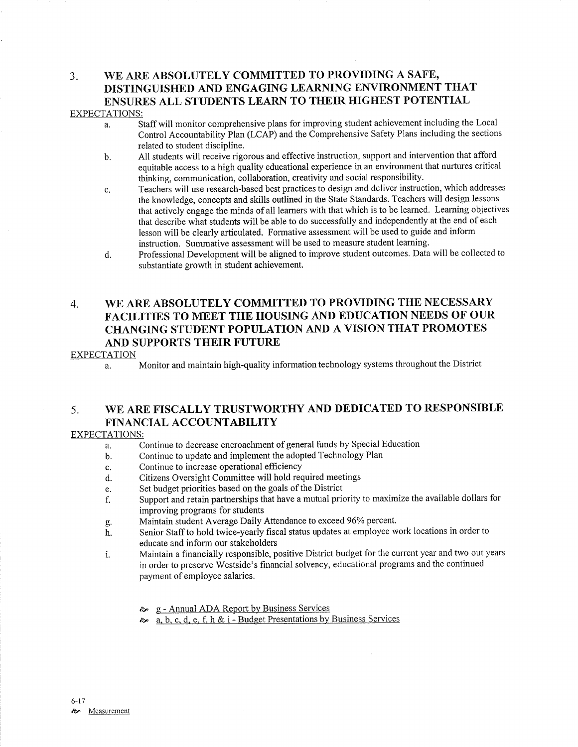## 3. WB ARB ABSOLUTELY COMMITTED TO PROVIDING A SAFB, DISTINGUISHED AND ENGAGING LEARNING ENVIRONMENT THAT ENSURES ALL STUDENTS LEARN TO THEIR HIGHEST POTENTIAL EXPECTATIONS:

- a. Staff will monitor comprehensive plans for improving student achievement including the Local Control Accountabiliry Plan (LCAP) and the Comprehensive Safety Plans including the sections related to student discipline.
- b. All students will receive rigorous and effective instruction, support and intervention that afford equitable access to a high quality educational experience in an environment that nurtures critical thinking, communication, collaboration, creativity and social responsibility.
- c. Teachers will use research-based best practices to design and deliver instruction, which addresses the knowledge, concepts and skills outlined in the State Standards. Teachers will design lessons that actively engage the minds of all learners with that which is to be learned. Leaming objectives that describe what students will be able to do successfully and independently at the end of each lesson will be clearly articulated. Formative assessment will be used to guide and inform instruction. Summative assessment will be used to measure student leaming.
- d. Professional Development will be aligned to improve student outcomes. Data will be collected to substantiate growth in student achievement.

# 4. WE ARE ABSOLUTELY COMMITTED TO PROVIDING THE NECESSARY FACILITIES TO MEET THE HOUSING AND EDUCATION NEEDS OF OUR CHANGING STUDENT POPULATION AND A VISION THAT PROMOTES AND SUPPORTS THEIR FUTURE

## **EXPECTATION**

a. Monitor and maintain high-quality information technology systems throughout the District

# 5. WE ARE FISCALLY TRUSTWORTHY AND DEDICATED TO RESPONSIBLE FINANCIAL ACCOUNTABILITY

## EXPECTATIONS:

- a. Continue to decrease encroachment of general funds by Special Education
- b. Continue to update and implement the adopted Technology Plan
- c. Continue to increase operational efficiency
- d. Citizens Oversight Committee will hold required meetings
- e. Set budget priorities based on the goals of the District
- f. Support and retain partnerships that have a mutual priority to maximize the available dollars for
- improving programs for students<br>Maintain student Average Daily Attendance to exceed 96% percent.
- g. Maintain student Average Daily Attendance to exceed 96Yo percent. h. Senior Staff to hold twice-yearly fiscal status updates at employee work locations in order to educate and inform our stakeholders
- i. Maintain a financially responsible, positive District budget for the current year and two out years in order to preserve Westside's financial solvency, educational programs and the continued payment of employee salaries.
	- **ARELIA BUSINESS** Services Services
	- è" a. b. c. d. e. f, h & i Budget Presentations by Business Services